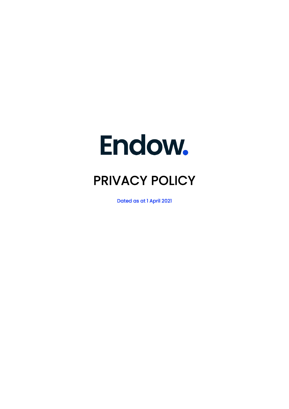# Endow.

# PRIVACY POLICY

Dated as at 1 April 2021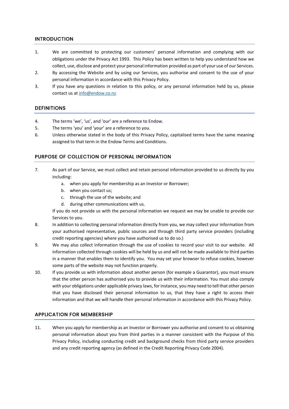# INTRODUCTION

- 1. We are committed to protecting our customers' personal information and complying with our obligations under the Privacy Act 1993. This Policy has been written to help you understand how we collect, use, disclose and protect your personal information provided as part of your use of our Services.
- 2. By accessing the Website and by using our Services, you authorise and consent to the use of your personal information in accordance with this Privacy Policy.
- 3. If you have any questions in relation to this policy, or any personal information held by us, please contact us a[t info@endow.co.nz](mailto:info@endow.co.nz)

## **DEFINITIONS**

- 4. The terms 'we', 'us', and 'our' are a reference to Endow.
- 5. The terms 'you' and 'your' are a reference to you.
- 6. Unless otherwise stated in the body of this Privacy Policy, capitalised terms have the same meaning assigned to that term in the Endow Terms and Conditions.

## PURPOSE OF COLLECTION OF PERSONAL INFORMATION

- 7. As part of our Service, we must collect and retain personal information provided to us directly by you including:
	- a. when you apply for membership as an Investor or Borrower;
	- b. when you contact us;
	- c. through the use of the website; and
	- d. during other communications with us.

If you do not provide us with the personal information we request we may be unable to provide our Services to you.

- 8. In addition to collecting personal information directly from you, we may collect your information from your authorised representative, public sources and through third party service providers (including credit reporting agencies) where you have authorised us to do so.)
- 9. We may also collect information through the use of cookies to record your visit to our website. All information collected through cookies will be held by us and will not be made available to third parties in a manner that enables them to identify you. You may set your browser to refuse cookies, however some parts of the website may not function properly.
- 10. If you provide us with information about another person (for example a Guarantor), you must ensure that the other person has authorised you to provide us with their information. You must also comply with your obligations under applicable privacy laws, for instance, you may need to tell that other person that you have disclosed their personal information to us, that they have a right to access their information and that we will handle their personal information in accordance with this Privacy Policy.

## APPLICATION FOR MEMBERSHIP

11. When you apply for membership as an Investor or Borrower you authorise and consent to us obtaining personal information about you from third parties in a manner consistent with the Purpose of this Privacy Policy, including conducting credit and background checks from third party service providers and any credit reporting agency (as defined in the Credit Reporting Privacy Code 2004).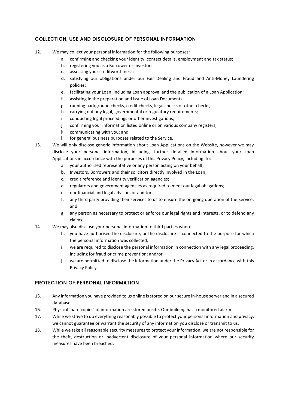# COLLECTION, USE AND DISCLOSURE OF PERSONAL INFORMATION

- 12. We may collect your personal information for the following purposes:
	- a. confirming and checking your identity, contact details, employment and tax status;
	- b. registering you as a Borrower or Investor;
	- c. assessing your creditworthiness;
	- d. satisfying our obligations under our Fair Dealing and Fraud and Anti-Money Laundering policies;
	- e. facilitating your Loan, including Loan approval and the publication of a Loan Application;
	- f. assisting in the preparation and issue of Loan Documents;
	- g. running background checks, credit checks, legal checks or other checks;
	- h. carrying out any legal, governmental or regulatory requirements;
	- i. conducting legal proceedings or other investigations;
	- j. confirming your information listed online or on various company registers;
	- k. communicating with you; and
	- l. for general business purposes related to the Service.
- 13. We will only disclose generic information about Loan Applications on the Website, however we may disclose your personal information, including, further detailed information about your Loan Applications in accordance with the purposes of this Privacy Policy, including to:
	- a. your authorised representative or any person acting on your behalf;
	- b. Investors, Borrowers and their solicitors directly involved in the Loan;
	- c. credit reference and identity verification agencies;
	- d. regulators and government agencies as required to meet our legal obligations;
	- e. our financial and legal advisors or auditors;
	- f. any third party providing their services to us to ensure the on-going operation of the Service; and
	- g. any person as necessary to protect or enforce our legal rights and interests, or to defend any claims.
- 14. We may also disclose your personal information to third parties where:
	- h. you have authorised the disclosure, or the disclosure is connected to the purpose for which the personal information was collected;
	- i. we are required to disclose the personal information in connection with any legal proceeding, including for fraud or crime prevention; and/or
	- j. we are permitted to disclose the information under the Privacy Act or in accordance with this Privacy Policy.

# PROTECTION OF PERSONAL INFORMATION

- 15. Any information you have provided to us online is stored on our secure in-house server and in a secured database.
- 16. Physical 'hard copies' of information are stored onsite. Our building has a monitored alarm.
- 17. While we strive to do everything reasonably possible to protect your personal information and privacy, we cannot guarantee or warrant the security of any information you disclose or transmit to us.
- 18. While we take all reasonable security measures to protect your information, we are not responsible for the theft, destruction or inadvertent disclosure of your personal information where our security measures have been breached.